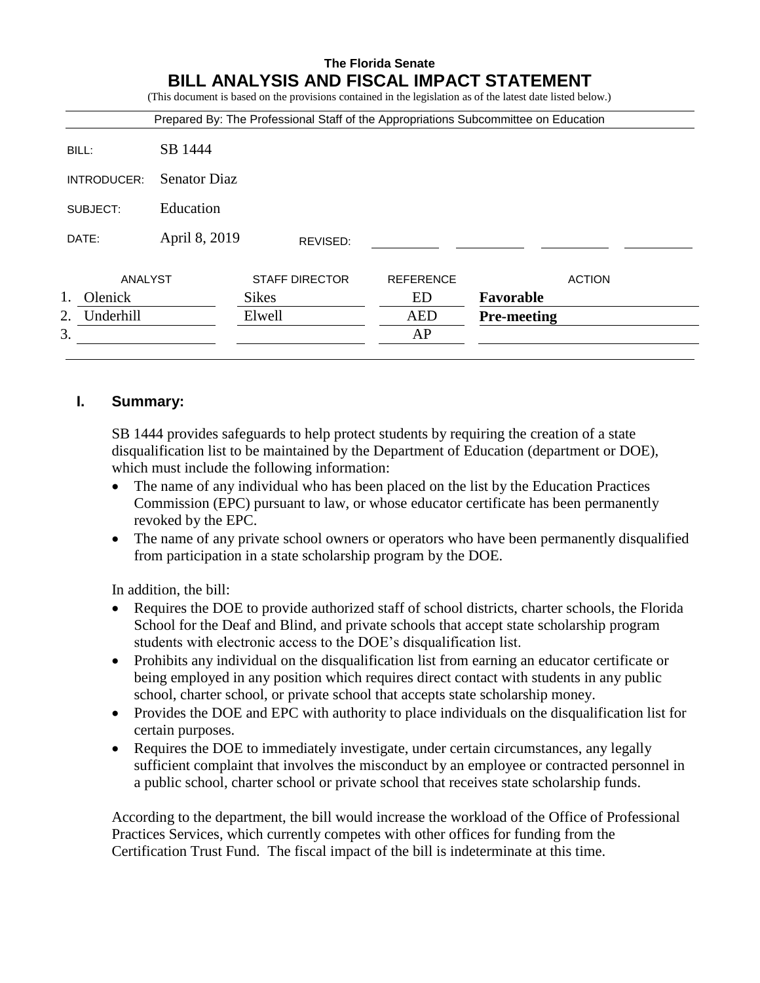|                      |                     |                       |                  | (This document is based on the provisions contained in the legislation as of the latest date listed below.)<br>Prepared By: The Professional Staff of the Appropriations Subcommittee on Education |
|----------------------|---------------------|-----------------------|------------------|----------------------------------------------------------------------------------------------------------------------------------------------------------------------------------------------------|
| BILL:                | SB 1444             |                       |                  |                                                                                                                                                                                                    |
| INTRODUCER:          | <b>Senator Diaz</b> |                       |                  |                                                                                                                                                                                                    |
| SUBJECT:             | Education           |                       |                  |                                                                                                                                                                                                    |
| DATE:                | April 8, 2019       | REVISED:              |                  |                                                                                                                                                                                                    |
| ANALYST              |                     | <b>STAFF DIRECTOR</b> | <b>REFERENCE</b> | <b>ACTION</b>                                                                                                                                                                                      |
| 1.<br><b>Olenick</b> |                     | <b>Sikes</b>          | ED               | Favorable                                                                                                                                                                                          |
| Underhill<br>2.      |                     | Elwell                | <b>AED</b>       | <b>Pre-meeting</b>                                                                                                                                                                                 |
| 3.                   |                     |                       | AP               |                                                                                                                                                                                                    |

# **I. Summary:**

SB 1444 provides safeguards to help protect students by requiring the creation of a state disqualification list to be maintained by the Department of Education (department or DOE), which must include the following information:

- The name of any individual who has been placed on the list by the Education Practices Commission (EPC) pursuant to law, or whose educator certificate has been permanently revoked by the EPC.
- The name of any private school owners or operators who have been permanently disqualified from participation in a state scholarship program by the DOE.

In addition, the bill:

- Requires the DOE to provide authorized staff of school districts, charter schools, the Florida School for the Deaf and Blind, and private schools that accept state scholarship program students with electronic access to the DOE's disqualification list.
- Prohibits any individual on the disqualification list from earning an educator certificate or being employed in any position which requires direct contact with students in any public school, charter school, or private school that accepts state scholarship money.
- Provides the DOE and EPC with authority to place individuals on the disqualification list for certain purposes.
- Requires the DOE to immediately investigate, under certain circumstances, any legally sufficient complaint that involves the misconduct by an employee or contracted personnel in a public school, charter school or private school that receives state scholarship funds.

According to the department, the bill would increase the workload of the Office of Professional Practices Services, which currently competes with other offices for funding from the Certification Trust Fund. The fiscal impact of the bill is indeterminate at this time.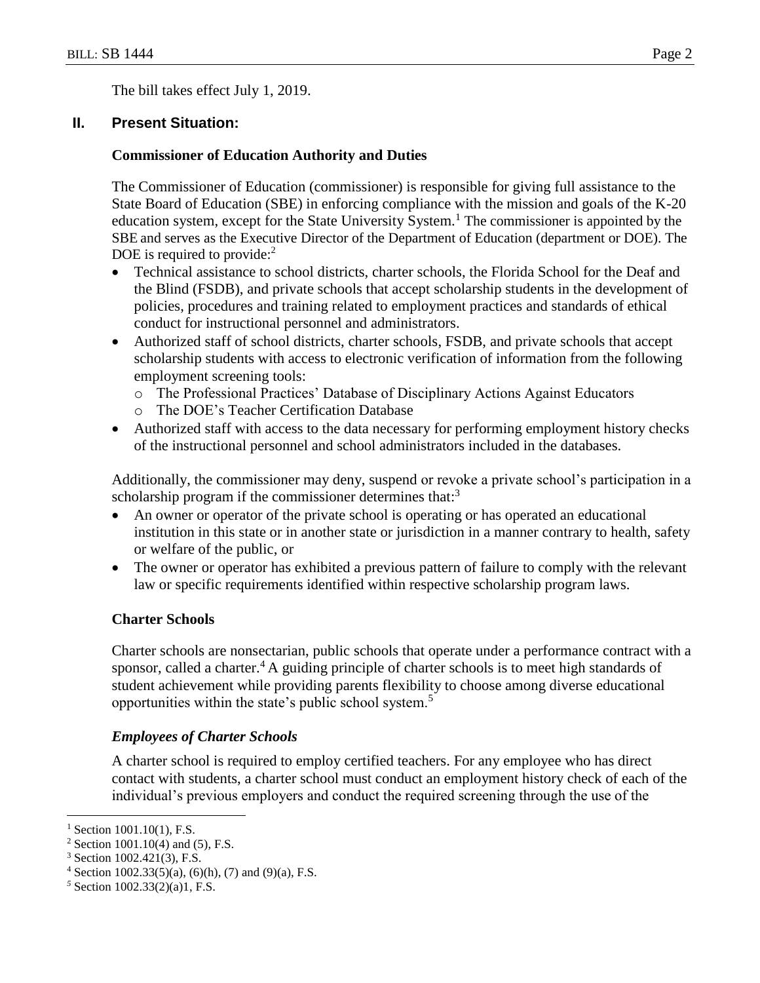The bill takes effect July 1, 2019.

# **II. Present Situation:**

## **Commissioner of Education Authority and Duties**

The Commissioner of Education (commissioner) is responsible for giving full assistance to the State Board of Education (SBE) in enforcing compliance with the mission and goals of the K-20 education system, except for the State University System.<sup>1</sup> The commissioner is appointed by the SBE and serves as the Executive Director of the Department of Education (department or DOE). The DOE is required to provide: $<sup>2</sup>$ </sup>

- Technical assistance to school districts, charter schools, the Florida School for the Deaf and the Blind (FSDB), and private schools that accept scholarship students in the development of policies, procedures and training related to employment practices and standards of ethical conduct for instructional personnel and administrators.
- Authorized staff of school districts, charter schools, FSDB, and private schools that accept scholarship students with access to electronic verification of information from the following employment screening tools:
	- o The Professional Practices' Database of Disciplinary Actions Against Educators
	- o The DOE's Teacher Certification Database
- Authorized staff with access to the data necessary for performing employment history checks of the instructional personnel and school administrators included in the databases.

Additionally, the commissioner may deny, suspend or revoke a private school's participation in a scholarship program if the commissioner determines that:<sup>3</sup>

- An owner or operator of the private school is operating or has operated an educational institution in this state or in another state or jurisdiction in a manner contrary to health, safety or welfare of the public, or
- The owner or operator has exhibited a previous pattern of failure to comply with the relevant law or specific requirements identified within respective scholarship program laws.

# **Charter Schools**

Charter schools are nonsectarian, public schools that operate under a performance contract with a sponsor, called a charter.<sup>4</sup> A guiding principle of charter schools is to meet high standards of student achievement while providing parents flexibility to choose among diverse educational opportunities within the state's public school system.<sup>5</sup>

# *Employees of Charter Schools*

A charter school is required to employ certified teachers. For any employee who has direct contact with students, a charter school must conduct an employment history check of each of the individual's previous employers and conduct the required screening through the use of the

 $1$  Section 1001.10(1), F.S.

<sup>&</sup>lt;sup>2</sup> Section 1001.10(4) and (5), F.S.

<sup>3</sup> Section 1002.421(3), F.S.

 $4$  Section 1002.33(5)(a), (6)(h), (7) and (9)(a), F.S.

*<sup>5</sup>* Section 1002.33(2)(a)1, F.S.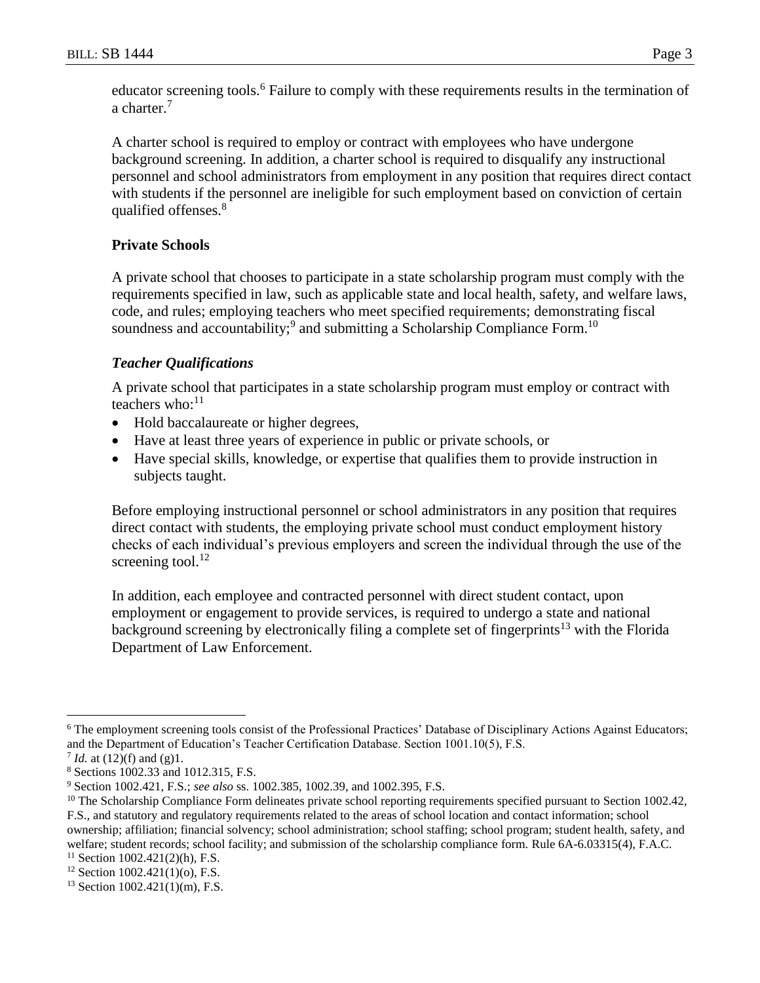educator screening tools.<sup>6</sup> Failure to comply with these requirements results in the termination of a charter.<sup>7</sup>

A charter school is required to employ or contract with employees who have undergone background screening. In addition, a charter school is required to disqualify any instructional personnel and school administrators from employment in any position that requires direct contact with students if the personnel are ineligible for such employment based on conviction of certain qualified offenses.<sup>8</sup>

# **Private Schools**

A private school that chooses to participate in a state scholarship program must comply with the requirements specified in law, such as applicable state and local health, safety, and welfare laws, code, and rules; employing teachers who meet specified requirements; demonstrating fiscal soundness and accountability;<sup>9</sup> and submitting a Scholarship Compliance Form.<sup>10</sup>

# *Teacher Qualifications*

A private school that participates in a state scholarship program must employ or contract with teachers who:<sup>11</sup>

- Hold baccalaureate or higher degrees,
- Have at least three years of experience in public or private schools, or
- Have special skills, knowledge, or expertise that qualifies them to provide instruction in subjects taught.

Before employing instructional personnel or school administrators in any position that requires direct contact with students, the employing private school must conduct employment history checks of each individual's previous employers and screen the individual through the use of the screening tool. $^{12}$ 

In addition, each employee and contracted personnel with direct student contact, upon employment or engagement to provide services, is required to undergo a state and national background screening by electronically filing a complete set of fingerprints<sup>13</sup> with the Florida Department of Law Enforcement.

<sup>&</sup>lt;sup>6</sup> The employment screening tools consist of the Professional Practices' Database of Disciplinary Actions Against Educators; and the Department of Education's Teacher Certification Database. Section 1001.10(5), F.S.

<sup>7</sup> *Id.* at (12)(f) and (g)1.

<sup>8</sup> Sections 1002.33 and 1012.315, F.S.

<sup>9</sup> Section 1002.421, F.S.; *see also* ss. 1002.385, 1002.39, and 1002.395, F.S.

 $10$  The Scholarship Compliance Form delineates private school reporting requirements specified pursuant to Section 1002.42, F.S., and statutory and regulatory requirements related to the areas of school location and contact information; school ownership; affiliation; financial solvency; school administration; school staffing; school program; student health, safety, and welfare; student records; school facility; and submission of the scholarship compliance form. Rule 6A-6.03315(4), F.A.C.

 $11$  Section 1002.421(2)(h), F.S.

<sup>12</sup> Section 1002.421(1)(o), F.S.

 $13$  Section 1002.421(1)(m), F.S.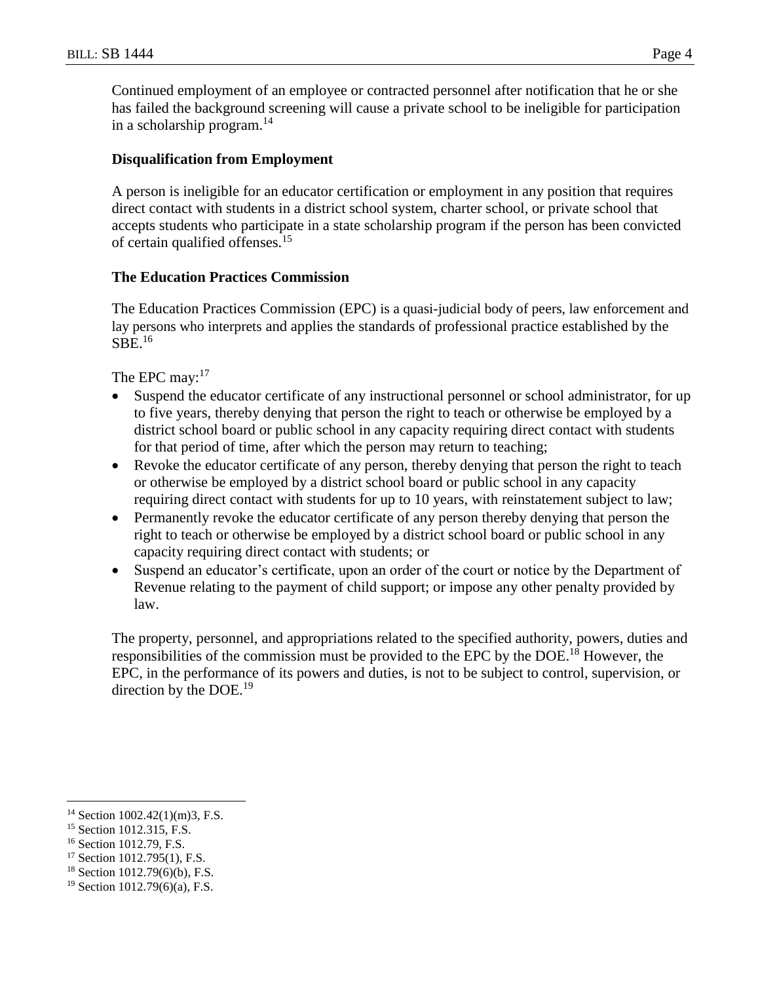Continued employment of an employee or contracted personnel after notification that he or she has failed the background screening will cause a private school to be ineligible for participation in a scholarship program. $^{14}$ 

## **Disqualification from Employment**

A person is ineligible for an educator certification or employment in any position that requires direct contact with students in a district school system, charter school, or private school that accepts students who participate in a state scholarship program if the person has been convicted of certain qualified offenses.<sup>15</sup>

#### **The Education Practices Commission**

The Education Practices Commission (EPC) is a quasi-judicial body of peers, law enforcement and lay persons who interprets and applies the standards of professional practice established by the  $SBE.<sup>16</sup>$ 

The EPC may:<sup>17</sup>

- Suspend the educator certificate of any instructional personnel or school administrator, for up to five years, thereby denying that person the right to teach or otherwise be employed by a district school board or public school in any capacity requiring direct contact with students for that period of time, after which the person may return to teaching;
- Revoke the educator certificate of any person, thereby denying that person the right to teach or otherwise be employed by a district school board or public school in any capacity requiring direct contact with students for up to 10 years, with reinstatement subject to law;
- Permanently revoke the educator certificate of any person thereby denying that person the right to teach or otherwise be employed by a district school board or public school in any capacity requiring direct contact with students; or
- Suspend an educator's certificate, upon an order of the court or notice by the Department of Revenue relating to the payment of child support; or impose any other penalty provided by law.

The property, personnel, and appropriations related to the specified authority, powers, duties and responsibilities of the commission must be provided to the EPC by the DOE.<sup>18</sup> However, the EPC, in the performance of its powers and duties, is not to be subject to control, supervision, or direction by the DOE.<sup>19</sup>

- <sup>17</sup> Section 1012.795(1), F.S.
- <sup>18</sup> Section 1012.79(6)(b), F.S.

 $14$  Section 1002.42(1)(m)3, F.S.

<sup>15</sup> Section 1012.315, F.S.

<sup>16</sup> Section 1012.79, F.S.

<sup>19</sup> Section 1012.79(6)(a), F.S.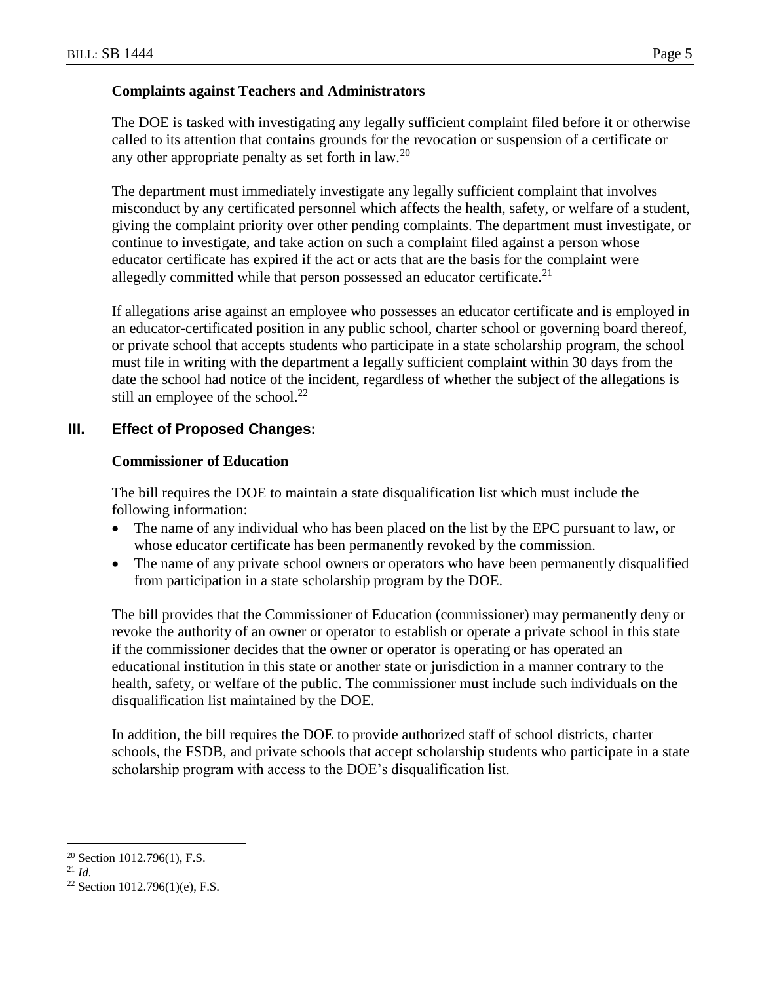#### **Complaints against Teachers and Administrators**

The DOE is tasked with investigating any legally sufficient complaint filed before it or otherwise called to its attention that contains grounds for the revocation or suspension of a certificate or any other appropriate penalty as set forth in law.<sup>20</sup>

The department must immediately investigate any legally sufficient complaint that involves misconduct by any certificated personnel which affects the health, safety, or welfare of a student, giving the complaint priority over other pending complaints. The department must investigate, or continue to investigate, and take action on such a complaint filed against a person whose educator certificate has expired if the act or acts that are the basis for the complaint were allegedly committed while that person possessed an educator certificate.<sup>21</sup>

If allegations arise against an employee who possesses an educator certificate and is employed in an educator-certificated position in any public school, charter school or governing board thereof, or private school that accepts students who participate in a state scholarship program, the school must file in writing with the department a legally sufficient complaint within 30 days from the date the school had notice of the incident, regardless of whether the subject of the allegations is still an employee of the school.<sup>22</sup>

# **III. Effect of Proposed Changes:**

## **Commissioner of Education**

The bill requires the DOE to maintain a state disqualification list which must include the following information:

- The name of any individual who has been placed on the list by the EPC pursuant to law, or whose educator certificate has been permanently revoked by the commission.
- The name of any private school owners or operators who have been permanently disqualified from participation in a state scholarship program by the DOE.

The bill provides that the Commissioner of Education (commissioner) may permanently deny or revoke the authority of an owner or operator to establish or operate a private school in this state if the commissioner decides that the owner or operator is operating or has operated an educational institution in this state or another state or jurisdiction in a manner contrary to the health, safety, or welfare of the public. The commissioner must include such individuals on the disqualification list maintained by the DOE.

In addition, the bill requires the DOE to provide authorized staff of school districts, charter schools, the FSDB, and private schools that accept scholarship students who participate in a state scholarship program with access to the DOE's disqualification list.

<sup>20</sup> Section 1012.796(1), F.S.

<sup>21</sup> *Id.*

<sup>&</sup>lt;sup>22</sup> Section 1012.796(1)(e), F.S.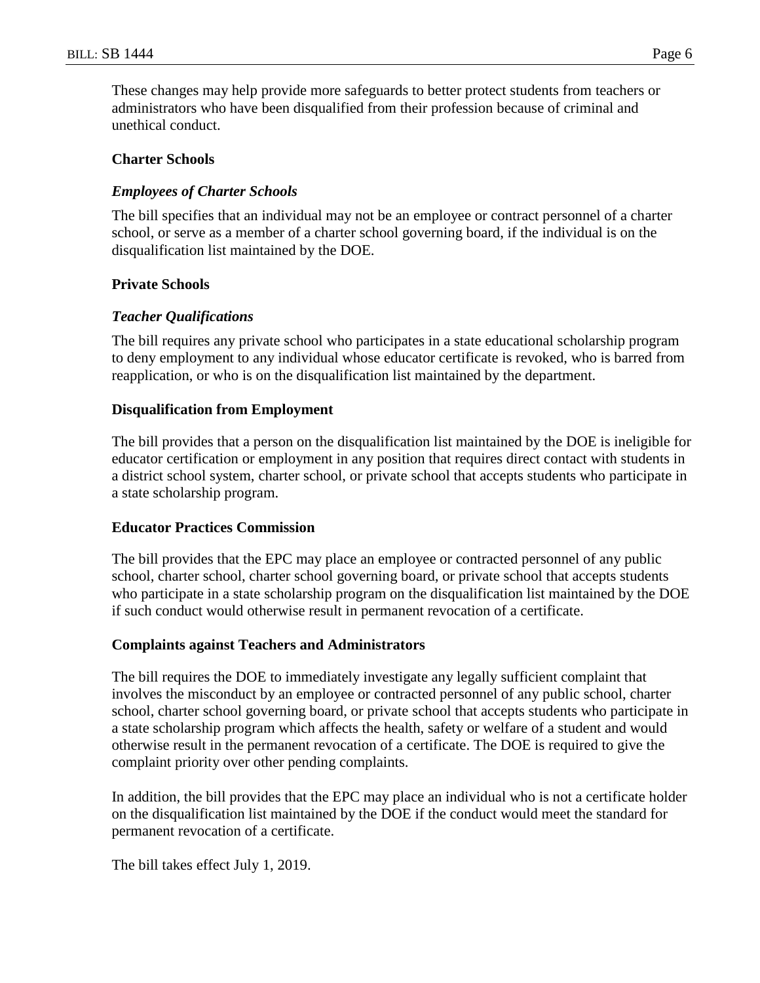These changes may help provide more safeguards to better protect students from teachers or administrators who have been disqualified from their profession because of criminal and unethical conduct.

#### **Charter Schools**

## *Employees of Charter Schools*

The bill specifies that an individual may not be an employee or contract personnel of a charter school, or serve as a member of a charter school governing board, if the individual is on the disqualification list maintained by the DOE.

#### **Private Schools**

## *Teacher Qualifications*

The bill requires any private school who participates in a state educational scholarship program to deny employment to any individual whose educator certificate is revoked, who is barred from reapplication, or who is on the disqualification list maintained by the department.

## **Disqualification from Employment**

The bill provides that a person on the disqualification list maintained by the DOE is ineligible for educator certification or employment in any position that requires direct contact with students in a district school system, charter school, or private school that accepts students who participate in a state scholarship program.

#### **Educator Practices Commission**

The bill provides that the EPC may place an employee or contracted personnel of any public school, charter school, charter school governing board, or private school that accepts students who participate in a state scholarship program on the disqualification list maintained by the DOE if such conduct would otherwise result in permanent revocation of a certificate.

#### **Complaints against Teachers and Administrators**

The bill requires the DOE to immediately investigate any legally sufficient complaint that involves the misconduct by an employee or contracted personnel of any public school, charter school, charter school governing board, or private school that accepts students who participate in a state scholarship program which affects the health, safety or welfare of a student and would otherwise result in the permanent revocation of a certificate. The DOE is required to give the complaint priority over other pending complaints.

In addition, the bill provides that the EPC may place an individual who is not a certificate holder on the disqualification list maintained by the DOE if the conduct would meet the standard for permanent revocation of a certificate.

The bill takes effect July 1, 2019.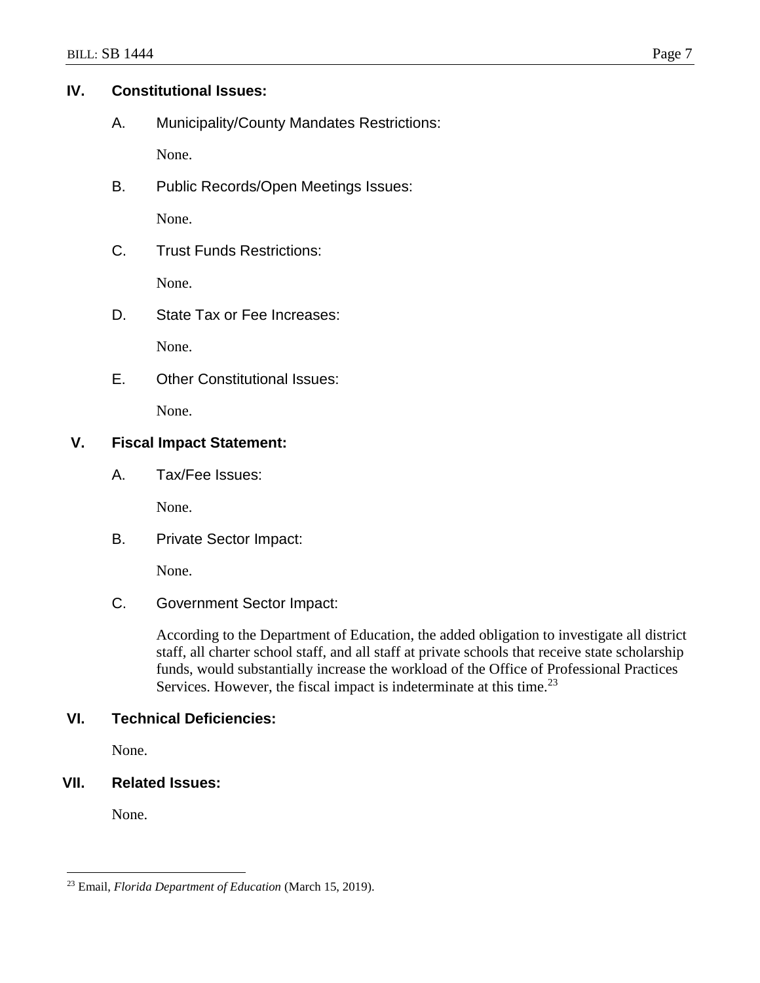## **IV. Constitutional Issues:**

A. Municipality/County Mandates Restrictions:

None.

B. Public Records/Open Meetings Issues:

None.

C. Trust Funds Restrictions:

None.

D. State Tax or Fee Increases:

None.

E. Other Constitutional Issues:

None.

# **V. Fiscal Impact Statement:**

A. Tax/Fee Issues:

None.

B. Private Sector Impact:

None.

C. Government Sector Impact:

According to the Department of Education, the added obligation to investigate all district staff, all charter school staff, and all staff at private schools that receive state scholarship funds, would substantially increase the workload of the Office of Professional Practices Services. However, the fiscal impact is indeterminate at this time.<sup>23</sup>

# **VI. Technical Deficiencies:**

None.

# **VII. Related Issues:**

None.

 $\overline{a}$ <sup>23</sup> Email, *Florida Department of Education* (March 15, 2019).